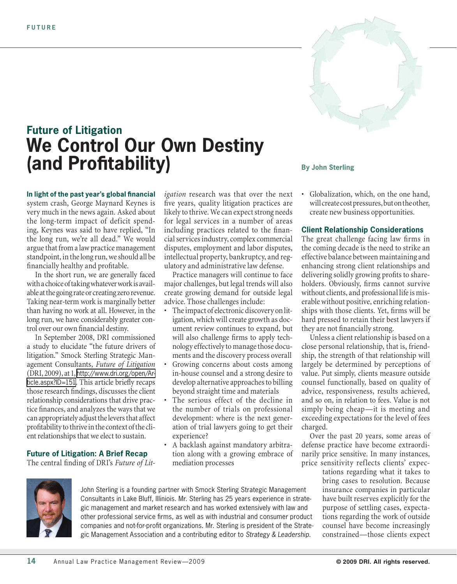



In the short run, we are generally faced with a choice of taking whatever work is available at the going rate or creating zero revenue. Taking near-term work is marginally better than having no work at all. However, in the long run, we have considerably greater control over our own financial destiny.

In September 2008, DRI commissioned a study to elucidate "the future drivers of litigation." Smock Sterling Strategic Management Consultants, *Future of Litigation* (DRI, 2009), at 1, [http://www.dri.org/open/Ar](http://www.dri.org/open/Article.aspx?ID=151)[ticle.aspx?ID=151](http://www.dri.org/open/Article.aspx?ID=151). This article briefly recaps those research findings, discusses the client relationship considerations that drive practice finances, and analyzes the ways that we can appropriately adjust the levers that affect profitability to thrive in the context of the client relationships that we elect to sustain.

# **Future of Litigation: A Brief Recap**

The central finding of DRI's *Future of Lit-*

*igation* research was that over the next five years, quality litigation practices are likely to thrive. We can expect strong needs for legal services in a number of areas including practices related to the financial services industry, complex commercial disputes, employment and labor disputes, intellectual property, bankruptcy, and regulatory and administrative law defense.

Practice managers will continue to face major challenges, but legal trends will also create growing demand for outside legal advice. Those challenges include:

- The impact of electronic discovery on litigation, which will create growth as document review continues to expand, but will also challenge firms to apply technology effectively to manage those documents and the discovery process overall
- Growing concerns about costs among in-house counsel and a strong desire to develop alternative approaches to billing beyond straight time and materials
- The serious effect of the decline in the number of trials on professional development: where is the next generation of trial lawyers going to get their experience?
- A backlash against mandatory arbitration along with a growing embrace of mediation processes

# **By John Sterling**

Globalization, which, on the one hand, will create cost pressures, but on the other, create new business opportunities.

# **Client Relationship Considerations**

The great challenge facing law firms in the coming decade is the need to strike an effective balance between maintaining and enhancing strong client relationships and delivering solidly growing profits to shareholders. Obviously, firms cannot survive without clients, and professional life is miserable without positive, enriching relationships with those clients. Yet, firms will be hard pressed to retain their best lawyers if they are not financially strong.

Unless a client relationship is based on a close personal relationship, that is, friendship, the strength of that relationship will largely be determined by perceptions of value. Put simply, clients measure outside counsel functionally, based on quality of advice, responsiveness, results achieved, and so on, in relation to fees. Value is not simply being cheap—it is meeting and exceeding expectations for the level of fees charged.

Over the past 20 years, some areas of defense practice have become extraordinarily price sensitive. In many instances, price sensitivity reflects clients' expec-

> tations regarding what it takes to bring cases to resolution. Because insurance companies in particular have built reserves explicitly for the purpose of settling cases, expectations regarding the work of outside counsel have become increasingly constrained—those clients expect



John Sterling is a founding partner with Smock Sterling Strategic Management Consultants in Lake Bluff, Illiniois. Mr. Sterling has 25 years experience in strategic management and market research and has worked extensively with law and other professional service firms, as well as with industrial and consumer product companies and not-for-profit organizations. Mr. Sterling is president of the Strategic Management Association and a contributing editor to *Strategy & Leadership*.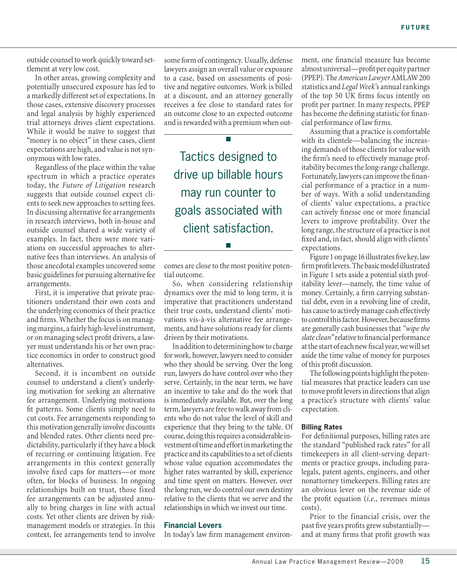outside counsel to work quickly toward settlement at very low cost.

In other areas, growing complexity and potentially unsecured exposure has led to a markedly different set of expectations. In those cases, extensive discovery processes and legal analysis by highly experienced trial attorneys drives client expectations. While it would be naïve to suggest that "money is no object" in these cases, client expectations are high, and value is not synonymous with low rates.

Regardless of the place within the value spectrum in which a practice operates today, the *Future of Litigation* research suggests that outside counsel expect clients to seek new approaches to setting fees. In discussing alternative fee arrangements in research interviews, both in-house and outside counsel shared a wide variety of examples. In fact, there were more variations on successful approaches to alternative fees than interviews. An analysis of those anecdotal examples uncovered some basic guidelines for pursuing alternative fee arrangements.

First, it is imperative that private practitioners understand their own costs and the underlying economics of their practice and firms. Whether the focus is on managing margins, a fairly high-level instrument, or on managing select profit drivers, a lawyer must understands his or her own practice economics in order to construct good alternatives.

Second, it is incumbent on outside counsel to understand a client's underlying motivation for seeking an alternative fee arrangement. Underlying motivations fit patterns. Some clients simply need to cut costs. Fee arrangements responding to this motivation generally involve discounts and blended rates. Other clients need predictability, particularly if they have a block of recurring or continuing litigation. Fee arrangements in this context generally involve fixed caps for matters—or more often, for blocks of business. In ongoing relationships built on trust, those fixed fee arrangements can be adjusted annually to bring charges in line with actual costs. Yet other clients are driven by riskmanagement models or strategies. In this context, fee arrangements tend to involve

some form of contingency. Usually, defense lawyers assign an overall value or exposure to a case, based on assessments of positive and negative outcomes. Work is billed at a discount, and an attorney generally receives a fee close to standard rates for an outcome close to an expected outcome and is rewarded with a premium when out-

n

Tactics designed to drive up billable hours may run counter to goals associated with client satisfaction.

comes are close to the most positive potential outcome.

n

So, when considering relationship dynamics over the mid to long term, it is imperative that practitioners understand their true costs, understand clients' motivations vis-à-vis alternative fee arrangements, and have solutions ready for clients driven by their motivations.

In addition to determining how to charge for work, however, lawyers need to consider who they should be serving. Over the long run, lawyers do have control over who they serve. Certainly, in the near term, we have an incentive to take and do the work that is immediately available. But, over the long term, lawyers are free to walk away from clients who do not value the level of skill and experience that they bring to the table. Of course, doing this requires a considerable investment of time and effort in marketing the practice and its capabilities to a set of clients whose value equation accommodates the higher rates warranted by skill, experience and time spent on matters. However, over the long run, we do control our own destiny relative to the clients that we serve and the relationships in which we invest our time.

# **Financial Levers**

In today's law firm management environ-

ment, one financial measure has become almost universal—profit per equity partner (PPEP). The *American Lawyer* AMLAW 200 statistics and *Legal Week*'s annual rankings of the top 50 UK firms focus intently on profit per partner. In many respects, PPEP has become *the* defining statistic for financial performance of law firms.

Assuming that a practice is comfortable with its clientele—balancing the increasing demands of those clients for value with the firm's need to effectively manage profitability becomes the long-range challenge. Fortunately, lawyers can improve the financial performance of a practice in a number of ways. With a solid understanding of clients' value expectations, a practice can actively finesse one or more financial levers to improve profitability. Over the long range, the structure of a practice is not fixed and, in fact, should align with clients' expectations.

Figure 1 on page 16 illustrates five key, law firm profit levers. The basic model illustrated in Figure 1 sets aside a potential sixth profitability lever—namely, the time value of money. Certainly, a firm carrying substantial debt, even in a revolving line of credit, has cause to actively manage cash effectively to control this factor. However, because firms are generally cash businesses that *"wipe the slate clean"* relative to financial performance at the start of each new fiscal year, we will set aside the time value of money for purposes of this profit discussion.

The following points highlight the potential measures that practice leaders can use to move profit levers in directions that align a practice's structure with clients' value expectation.

### **Billing Rates**

For definitional purposes, billing rates are the standard "published rack rates" for all timekeepers in all client-serving departments or practice groups, including paralegals, patent agents, engineers, and other nonattorney timekeepers. Billing rates are an obvious lever on the revenue side of the profit equation (*i.e.*, revenues minus costs).

Prior to the financial crisis, over the past five years profits grew substantially and at many firms that profit growth was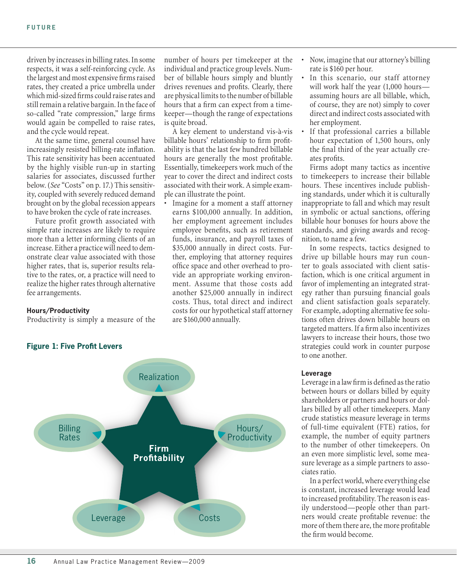driven by increases in billing rates. In some respects, it was a self-reinforcing cycle. As the largest and most expensive firms raised rates, they created a price umbrella under which mid-sized firms could raise rates and still remain a relative bargain. In the face of so-called "rate compression," large firms would again be compelled to raise rates, and the cycle would repeat.

At the same time, general counsel have increasingly resisted billing-rate inflation. This rate sensitivity has been accentuated by the highly visible run-up in starting salaries for associates, discussed further below. (*See* "Costs" on p. 17.) This sensitivity, coupled with severely reduced demand brought on by the global recession appears to have broken the cycle of rate increases.

Future profit growth associated with simple rate increases are likely to require more than a letter informing clients of an increase. Either a practice will need to demonstrate clear value associated with those higher rates, that is, superior results relative to the rates, or, a practice will need to realize the higher rates through alternative fee arrangements.

# **Hours/Productivity**

Productivity is simply a measure of the

number of hours per timekeeper at the individual and practice group levels. Number of billable hours simply and bluntly drives revenues and profits. Clearly, there are physical limits to the number of billable hours that a firm can expect from a timekeeper—though the range of expectations is quite broad.

A key element to understand vis-à-vis billable hours' relationship to firm profitability is that the last few hundred billable hours are generally the most profitable. Essentially, timekeepers work much of the year to cover the direct and indirect costs associated with their work. A simple example can illustrate the point.

Imagine for a moment a staff attorney earns \$100,000 annually. In addition, her employment agreement includes employee benefits, such as retirement funds, insurance, and payroll taxes of \$35,000 annually in direct costs. Further, employing that attorney requires office space and other overhead to provide an appropriate working environment. Assume that those costs add another \$25,000 annually in indirect costs. Thus, total direct and indirect costs for our hypothetical staff attorney are \$160,000 annually.



- Now, imagine that our attorney's billing rate is \$160 per hour.
- In this scenario, our staff attorney will work half the year (1,000 hours assuming hours are all billable, which, of course, they are not) simply to cover direct and indirect costs associated with her employment.
- If that professional carries a billable hour expectation of 1,500 hours, only the final third of the year actually creates profits.

Firms adopt many tactics as incentive to timekeepers to increase their billable hours. These incentives include publishing standards, under which it is culturally inappropriate to fall and which may result in symbolic or actual sanctions, offering billable hour bonuses for hours above the standards, and giving awards and recognition, to name a few.

In some respects, tactics designed to drive up billable hours may run counter to goals associated with client satisfaction, which is one critical argument in favor of implementing an integrated strategy rather than pursuing financial goals and client satisfaction goals separately. For example, adopting alternative fee solutions often drives down billable hours on targeted matters. If a firm also incentivizes lawyers to increase their hours, those two strategies could work in counter purpose to one another.

#### **Leverage**

Leverage in a law firm is defined as the ratio between hours or dollars billed by equity shareholders or partners and hours or dollars billed by all other timekeepers. Many crude statistics measure leverage in terms of full-time equivalent (FTE) ratios, for example, the number of equity partners to the number of other timekeepers. On an even more simplistic level, some measure leverage as a simple partners to associates ratio.

In a perfect world, where everything else is constant, increased leverage would lead to increased profitability. The reason is easily understood—people other than partners would create profitable revenue: the more of them there are, the more profitable the firm would become.

# **Figure 1: Five Profit Levers**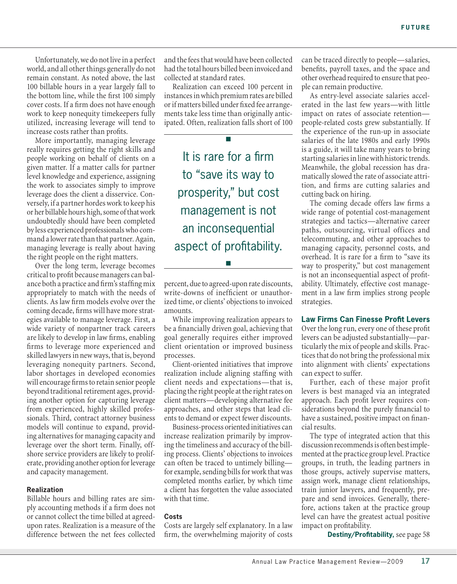Unfortunately, we do not live in a perfect world, and all other things generally do not remain constant. As noted above, the last 100 billable hours in a year largely fall to the bottom line, while the first 100 simply cover costs. If a firm does not have enough work to keep nonequity timekeepers fully utilized, increasing leverage will tend to increase costs rather than profits.

More importantly, managing leverage really requires getting the right skills and people working on behalf of clients on a given matter. If a matter calls for partner level knowledge and experience, assigning the work to associates simply to improve leverage does the client a disservice. Conversely, if a partner hordes work to keep his or her billable hours high, some of that work undoubtedly should have been completed by less experienced professionals who command a lower rate than that partner. Again, managing leverage is really about having the right people on the right matters.

Over the long term, leverage becomes critical to profit because managers can balance both a practice and firm's staffing mix appropriately to match with the needs of clients. As law firm models evolve over the coming decade, firms will have more strategies available to manage leverage. First, a wide variety of nonpartner track careers are likely to develop in law firms, enabling firms to leverage more experienced and skilled lawyers in new ways, that is, beyond leveraging nonequity partners. Second, labor shortages in developed economies will encourage firms to retain senior people beyond traditional retirement ages, providing another option for capturing leverage from experienced, highly skilled professionals. Third, contract attorney business models will continue to expand, providing alternatives for managing capacity and leverage over the short term. Finally, offshore service providers are likely to proliferate, providing another option for leverage and capacity management.

#### **Realization**

Billable hours and billing rates are simply accounting methods if a firm does not or cannot collect the time billed at agreedupon rates. Realization is a measure of the difference between the net fees collected

and the fees that would have been collected had the total hours billed been invoiced and collected at standard rates.

Realization can exceed 100 percent in instances in which premium rates are billed or if matters billed under fixed fee arrangements take less time than originally anticipated. Often, realization falls short of 100

n

It is rare for a firm to "save its way to prosperity," but cost management is not an inconsequential aspect of profitability.

percent, due to agreed-upon rate discounts, write-downs of inefficient or unauthorized time, or clients' objections to invoiced amounts.

n

While improving realization appears to be a financially driven goal, achieving that goal generally requires either improved client orientation or improved business processes.

Client-oriented initiatives that improve realization include aligning staffing with client needs and expectations—that is, placing the right people at the right rates on client matters—developing alternative fee approaches, and other steps that lead clients to demand or expect fewer discounts.

Business-process oriented initiatives can increase realization primarily by improving the timeliness and accuracy of the billing process. Clients' objections to invoices can often be traced to untimely billing for example, sending bills for work that was completed months earlier, by which time a client has forgotten the value associated with that time.

# **Costs**

Costs are largely self explanatory. In a law firm, the overwhelming majority of costs

can be traced directly to people—salaries, benefits, payroll taxes, and the space and other overhead required to ensure that people can remain productive.

As entry-level associate salaries accelerated in the last few years—with little impact on rates of associate retention people-related costs grew substantially. If the experience of the run-up in associate salaries of the late 1980s and early 1990s is a guide, it will take many years to bring starting salaries in line with historic trends. Meanwhile, the global recession has dramatically slowed the rate of associate attrition, and firms are cutting salaries and cutting back on hiring.

The coming decade offers law firms a wide range of potential cost-management strategies and tactics—alternative career paths, outsourcing, virtual offices and telecommuting, and other approaches to managing capacity, personnel costs, and overhead. It is rare for a firm to "save its way to prosperity," but cost management is not an inconsequential aspect of profitability. Ultimately, effective cost management in a law firm implies strong people strategies.

# **Law Firms Can Finesse Profit Levers**

Over the long run, every one of these profit levers can be adjusted substantially—particularly the mix of people and skills. Practices that do not bring the professional mix into alignment with clients' expectations can expect to suffer.

Further, each of these major profit levers is best managed via an integrated approach. Each profit lever requires considerations beyond the purely financial to have a sustained, positive impact on financial results.

The type of integrated action that this discussion recommends is often best implemented at the practice group level. Practice groups, in truth, the leading partners in those groups, actively supervise matters, assign work, manage client relationships, train junior lawyers, and frequently, prepare and send invoices. Generally, therefore, actions taken at the practice group level can have the greatest actual positive impact on profitability.

**Destiny/Profitability,** see page 58